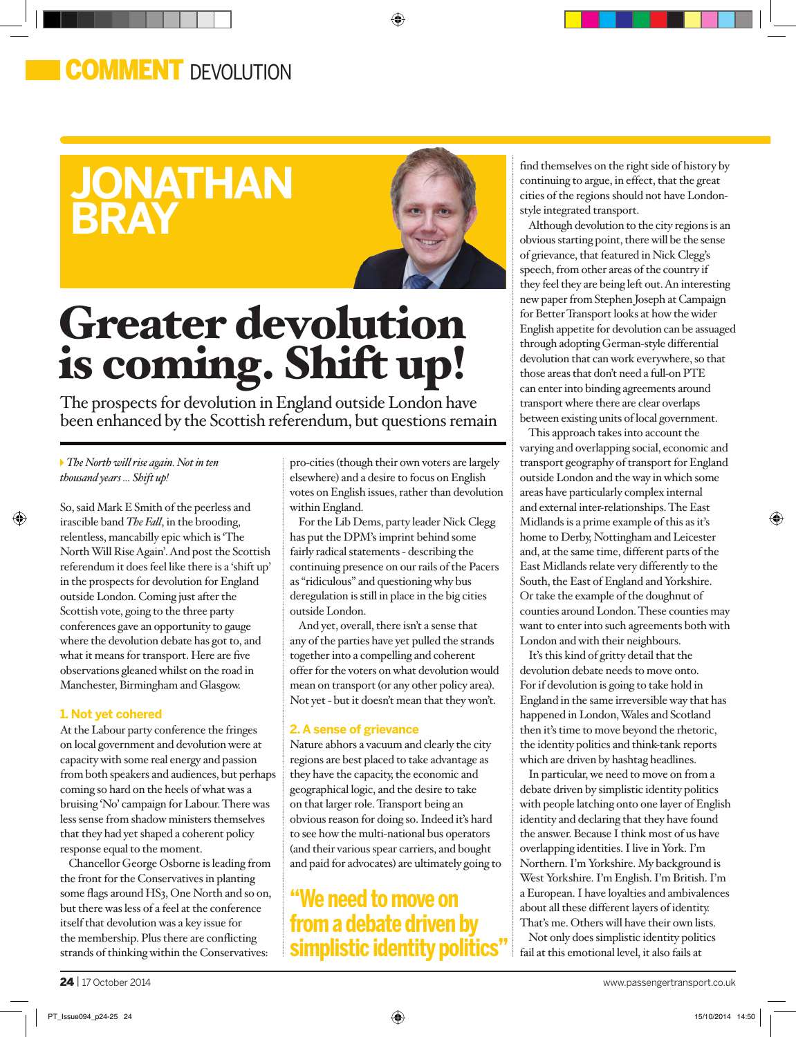### **COMMENT** DEVOLUTION

## **jonathan bray**



⊕

# Greater devolution is coming. Shift up!

The prospects for devolution in England outside London have been enhanced by the Scottish referendum, but questions remain

*The North will rise again. Not in ten thousand years ... Shift up!*

So, said Mark E Smith of the peerless and irascible band *The Fall*, in the brooding, relentless, mancabilly epic which is 'The North Will Rise Again'. And post the Scottish referendum it does feel like there is a 'shift up' in the prospects for devolution for England outside London. Coming just after the Scottish vote, going to the three party conferences gave an opportunity to gauge where the devolution debate has got to, and what it means for transport. Here are five observations gleaned whilst on the road in Manchester, Birmingham and Glasgow.

### **1. Not yet cohered**

At the Labour party conference the fringes on local government and devolution were at capacity with some real energy and passion from both speakers and audiences, but perhaps coming so hard on the heels of what was a bruising 'No' campaign for Labour. There was less sense from shadow ministers themselves that they had yet shaped a coherent policy response equal to the moment.

Chancellor George Osborne is leading from the front for the Conservatives in planting some flags around HS3, One North and so on, but there was less of a feel at the conference itself that devolution was a key issue for the membership. Plus there are conflicting strands of thinking within the Conservatives:

pro-cities (though their own voters are largely elsewhere) and a desire to focus on English votes on English issues, rather than devolution within England.

For the Lib Dems, party leader Nick Clegg has put the DPM's imprint behind some fairly radical statements - describing the continuing presence on our rails of the Pacers as "ridiculous" and questioning why bus deregulation is still in place in the big cities outside London.

And yet, overall, there isn't a sense that any of the parties have yet pulled the strands together into a compelling and coherent offer for the voters on what devolution would mean on transport (or any other policy area). Not yet - but it doesn't mean that they won't.

### **2. A sense of grievance**

Nature abhors a vacuum and clearly the city regions are best placed to take advantage as they have the capacity, the economic and geographical logic, and the desire to take on that larger role. Transport being an obvious reason for doing so. Indeed it's hard to see how the multi-national bus operators (and their various spear carriers, and bought and paid for advocates) are ultimately going to

### **"We need to move on from a debate driven by simplistic identity politics"**

find themselves on the right side of history by continuing to argue, in effect, that the great cities of the regions should not have Londonstyle integrated transport.

Although devolution to the city regions is an obvious starting point, there will be the sense of grievance, that featured in Nick Clegg's speech, from other areas of the country if they feel they are being left out. An interesting new paper from Stephen Joseph at Campaign for Better Transport looks at how the wider English appetite for devolution can be assuaged through adopting German-style differential devolution that can work everywhere, so that those areas that don't need a full-on PTE can enter into binding agreements around transport where there are clear overlaps between existing units of local government.

This approach takes into account the varying and overlapping social, economic and transport geography of transport for England outside London and the way in which some areas have particularly complex internal and external inter-relationships. The East Midlands is a prime example of this as it's home to Derby, Nottingham and Leicester and, at the same time, different parts of the East Midlands relate very differently to the South, the East of England and Yorkshire. Or take the example of the doughnut of counties around London. These counties may want to enter into such agreements both with London and with their neighbours.

It's this kind of gritty detail that the devolution debate needs to move onto. For if devolution is going to take hold in England in the same irreversible way that has happened in London, Wales and Scotland then it's time to move beyond the rhetoric, the identity politics and think-tank reports which are driven by hashtag headlines.

In particular, we need to move on from a debate driven by simplistic identity politics with people latching onto one layer of English identity and declaring that they have found the answer. Because I think most of us have overlapping identities. I live in York. I'm Northern. I'm Yorkshire. My background is West Yorkshire. I'm English. I'm British. I'm a European. I have loyalties and ambivalences about all these different layers of identity. That's me. Others will have their own lists.

Not only does simplistic identity politics fail at this emotional level, it also fails at

⊕